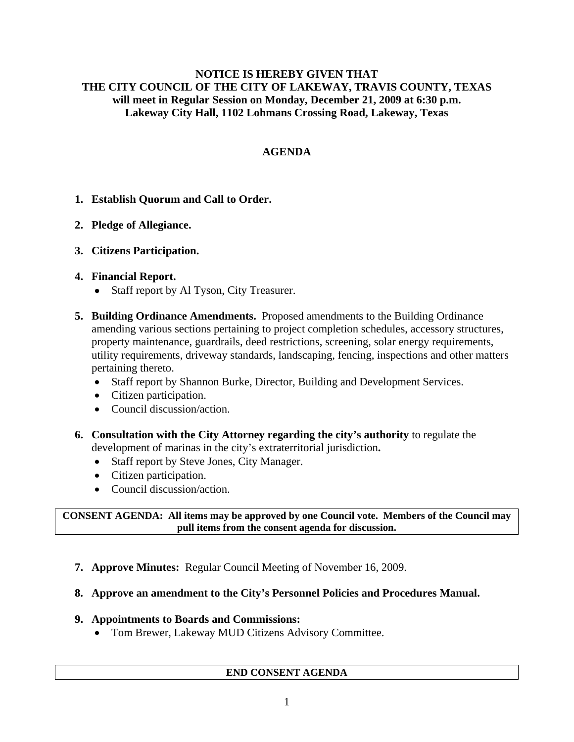#### **NOTICE IS HEREBY GIVEN THAT THE CITY COUNCIL OF THE CITY OF LAKEWAY, TRAVIS COUNTY, TEXAS will meet in Regular Session on Monday, December 21, 2009 at 6:30 p.m. Lakeway City Hall, 1102 Lohmans Crossing Road, Lakeway, Texas**

# **AGENDA**

# **1. Establish Quorum and Call to Order.**

# **2. Pledge of Allegiance.**

# **3. Citizens Participation.**

# **4. Financial Report.**

- Staff report by Al Tyson, City Treasurer.
- **5. Building Ordinance Amendments.** Proposed amendments to the Building Ordinance amending various sections pertaining to project completion schedules, accessory structures, property maintenance, guardrails, deed restrictions, screening, solar energy requirements, utility requirements, driveway standards, landscaping, fencing, inspections and other matters pertaining thereto.
	- Staff report by Shannon Burke, Director, Building and Development Services.
	- Citizen participation.
	- Council discussion/action.
- **6. Consultation with the City Attorney regarding the city's authority** to regulate the development of marinas in the city's extraterritorial jurisdiction**.**
	- Staff report by Steve Jones, City Manager.
	- Citizen participation.
	- Council discussion/action.

**CONSENT AGENDA: All items may be approved by one Council vote. Members of the Council may pull items from the consent agenda for discussion.** 

**7. Approve Minutes:** Regular Council Meeting of November 16, 2009.

# **8. Approve an amendment to the City's Personnel Policies and Procedures Manual.**

### **9. Appointments to Boards and Commissions:**

• Tom Brewer, Lakeway MUD Citizens Advisory Committee.

### **END CONSENT AGENDA**